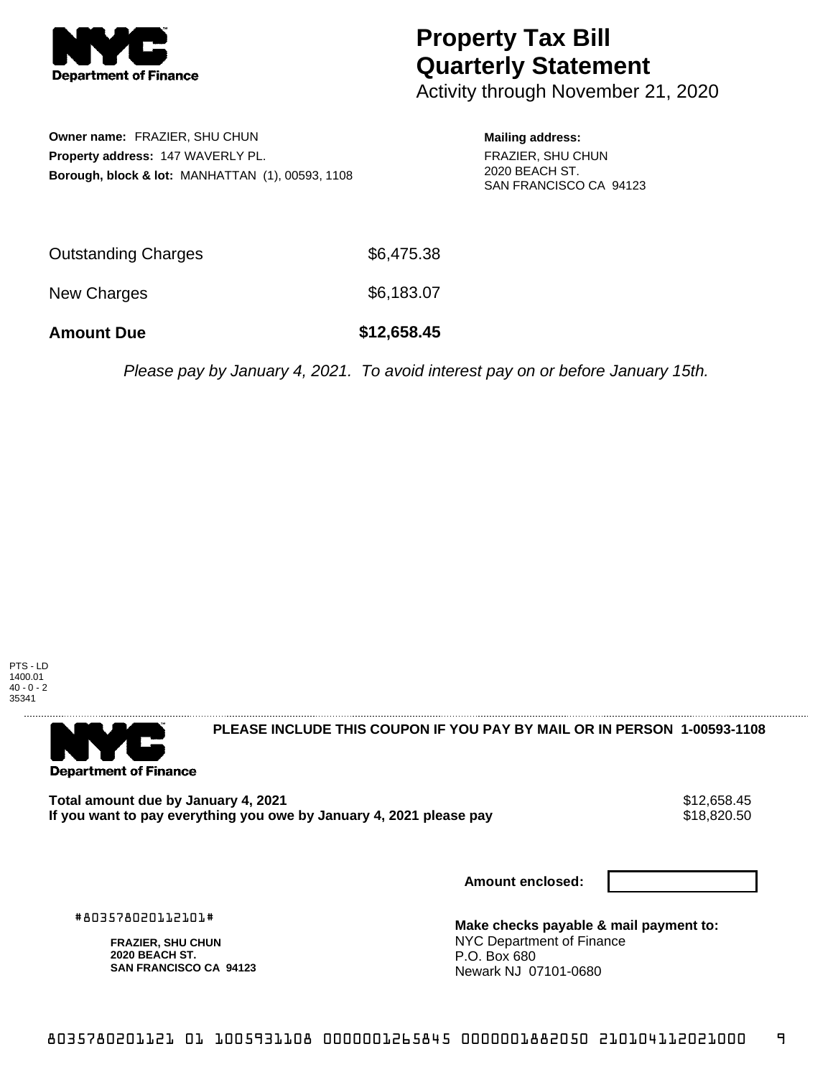

## **Property Tax Bill Quarterly Statement**

Activity through November 21, 2020

**Owner name:** FRAZIER, SHU CHUN **Property address:** 147 WAVERLY PL. **Borough, block & lot:** MANHATTAN (1), 00593, 1108 **Mailing address:**

FRAZIER, SHU CHUN 2020 BEACH ST. SAN FRANCISCO CA 94123

| <b>Amount Due</b>          | \$12,658.45 |
|----------------------------|-------------|
| New Charges                | \$6,183.07  |
| <b>Outstanding Charges</b> | \$6,475.38  |

Please pay by January 4, 2021. To avoid interest pay on or before January 15th.





**PLEASE INCLUDE THIS COUPON IF YOU PAY BY MAIL OR IN PERSON 1-00593-1108** 

**Total amount due by January 4, 2021**<br>If you want to pay everything you owe by January 4, 2021 please pay **12,658.45** \$18,820.50 If you want to pay everything you owe by January 4, 2021 please pay

**Amount enclosed:**

#803578020112101#

**FRAZIER, SHU CHUN 2020 BEACH ST. SAN FRANCISCO CA 94123**

**Make checks payable & mail payment to:** NYC Department of Finance P.O. Box 680 Newark NJ 07101-0680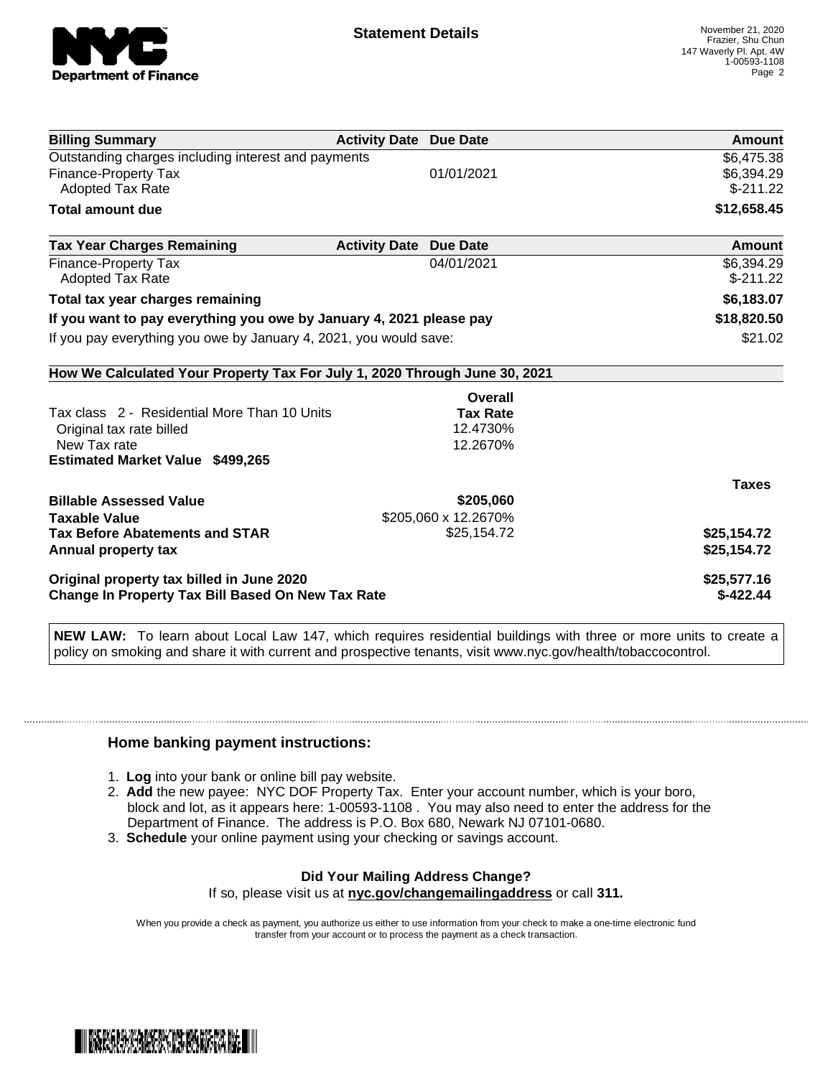

| <b>Billing Summary</b>                                                     | <b>Activity Date Due Date</b>           | Amount       |
|----------------------------------------------------------------------------|-----------------------------------------|--------------|
| Outstanding charges including interest and payments                        |                                         | \$6,475.38   |
| Finance-Property Tax                                                       | 01/01/2021                              | \$6,394.29   |
| <b>Adopted Tax Rate</b>                                                    |                                         | $$-211.22$   |
| <b>Total amount due</b>                                                    |                                         | \$12,658.45  |
| <b>Tax Year Charges Remaining</b>                                          | <b>Activity Date</b><br><b>Due Date</b> | Amount       |
| Finance-Property Tax                                                       | 04/01/2021                              | \$6,394.29   |
| <b>Adopted Tax Rate</b>                                                    |                                         | $$-211.22$   |
| Total tax year charges remaining                                           |                                         | \$6,183.07   |
| If you want to pay everything you owe by January 4, 2021 please pay        |                                         | \$18,820.50  |
| If you pay everything you owe by January 4, 2021, you would save:          |                                         | \$21.02      |
| How We Calculated Your Property Tax For July 1, 2020 Through June 30, 2021 |                                         |              |
|                                                                            | Overall                                 |              |
| Tax class 2 - Residential More Than 10 Units                               | <b>Tax Rate</b>                         |              |
| Original tax rate billed                                                   | 12.4730%                                |              |
| New Tax rate                                                               | 12.2670%                                |              |
| <b>Estimated Market Value \$499,265</b>                                    |                                         |              |
|                                                                            |                                         | <b>Taxes</b> |
| <b>Billable Assessed Value</b>                                             | \$205,060                               |              |
| <b>Taxable Value</b>                                                       | \$205,060 x 12.2670%                    |              |
| <b>Tax Before Abatements and STAR</b>                                      | \$25,154.72                             | \$25,154.72  |
| Annual property tax                                                        |                                         | \$25,154.72  |
| Original property tax billed in June 2020                                  |                                         | \$25,577.16  |
| <b>Change In Property Tax Bill Based On New Tax Rate</b>                   |                                         | $$-422.44$   |

**NEW LAW:** To learn about Local Law 147, which requires residential buildings with three or more units to create a policy on smoking and share it with current and prospective tenants, visit www.nyc.gov/health/tobaccocontrol.

## **Home banking payment instructions:**

- 1. **Log** into your bank or online bill pay website.
- 2. **Add** the new payee: NYC DOF Property Tax. Enter your account number, which is your boro, block and lot, as it appears here: 1-00593-1108 . You may also need to enter the address for the Department of Finance. The address is P.O. Box 680, Newark NJ 07101-0680.
- 3. **Schedule** your online payment using your checking or savings account.

## **Did Your Mailing Address Change?** If so, please visit us at **nyc.gov/changemailingaddress** or call **311.**

When you provide a check as payment, you authorize us either to use information from your check to make a one-time electronic fund

transfer from your account or to process the payment as a check transaction.